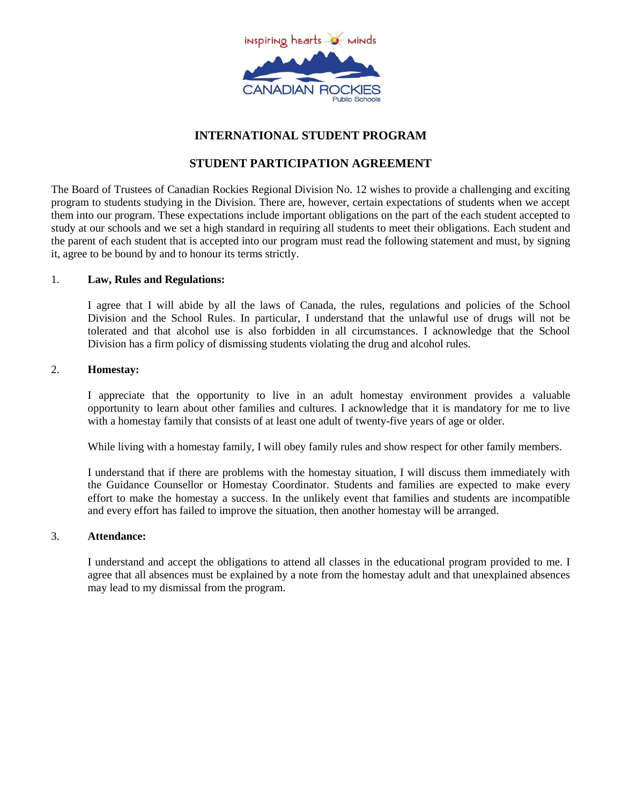

# **INTERNATIONAL STUDENT PROGRAM**

## **STUDENT PARTICIPATION AGREEMENT**

The Board of Trustees of Canadian Rockies Regional Division No. 12 wishes to provide a challenging and exciting program to students studying in the Division. There are, however, certain expectations of students when we accept them into our program. These expectations include important obligations on the part of the each student accepted to study at our schools and we set a high standard in requiring all students to meet their obligations. Each student and the parent of each student that is accepted into our program must read the following statement and must, by signing it, agree to be bound by and to honour its terms strictly.

## 1. **Law, Rules and Regulations:**

I agree that I will abide by all the laws of Canada, the rules, regulations and policies of the School Division and the School Rules. In particular, I understand that the unlawful use of drugs will not be tolerated and that alcohol use is also forbidden in all circumstances. I acknowledge that the School Division has a firm policy of dismissing students violating the drug and alcohol rules.

## 2. **Homestay:**

I appreciate that the opportunity to live in an adult homestay environment provides a valuable opportunity to learn about other families and cultures. I acknowledge that it is mandatory for me to live with a homestay family that consists of at least one adult of twenty-five years of age or older.

While living with a homestay family, I will obey family rules and show respect for other family members.

I understand that if there are problems with the homestay situation, I will discuss them immediately with the Guidance Counsellor or Homestay Coordinator. Students and families are expected to make every effort to make the homestay a success. In the unlikely event that families and students are incompatible and every effort has failed to improve the situation, then another homestay will be arranged.

## 3. **Attendance:**

I understand and accept the obligations to attend all classes in the educational program provided to me. I agree that all absences must be explained by a note from the homestay adult and that unexplained absences may lead to my dismissal from the program.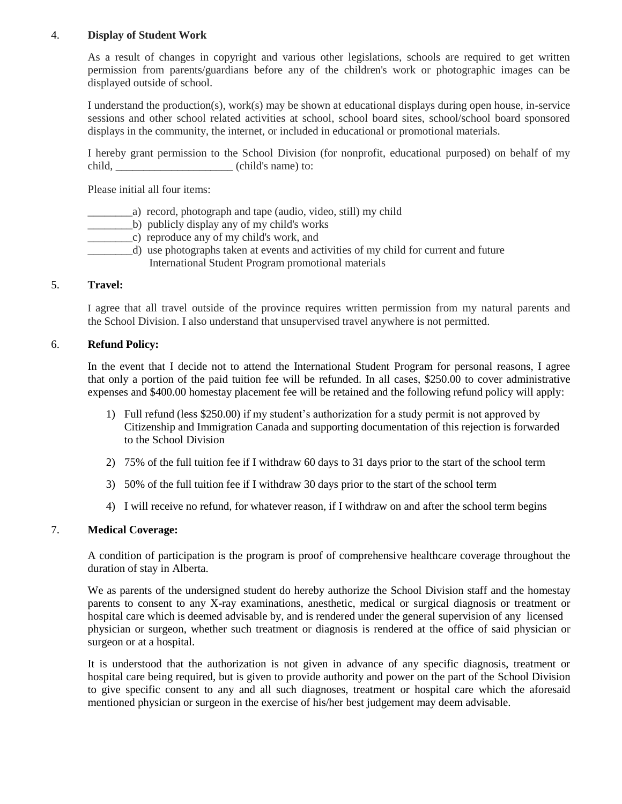## 4. **Display of Student Work**

As a result of changes in copyright and various other legislations, schools are required to get written permission from parents/guardians before any of the children's work or photographic images can be displayed outside of school.

I understand the production(s), work(s) may be shown at educational displays during open house, in-service sessions and other school related activities at school, school board sites, school/school board sponsored displays in the community, the internet, or included in educational or promotional materials.

I hereby grant permission to the School Division (for nonprofit, educational purposed) on behalf of my child, \_\_\_\_\_\_\_\_\_\_\_\_\_\_\_\_\_\_\_\_\_ (child's name) to:

Please initial all four items:

- \_\_\_\_\_\_\_\_a) record, photograph and tape (audio, video, still) my child
- \_\_\_\_\_\_\_\_b) publicly display any of my child's works
- \_\_\_\_\_\_\_\_c) reproduce any of my child's work, and
- \_\_\_\_\_\_\_\_d) use photographs taken at events and activities of my child for current and future International Student Program promotional materials

#### 5. **Travel:**

I agree that all travel outside of the province requires written permission from my natural parents and the School Division. I also understand that unsupervised travel anywhere is not permitted.

#### 6. **Refund Policy:**

In the event that I decide not to attend the International Student Program for personal reasons, I agree that only a portion of the paid tuition fee will be refunded. In all cases, \$250.00 to cover administrative expenses and \$400.00 homestay placement fee will be retained and the following refund policy will apply:

- 1) Full refund (less \$250.00) if my student's authorization for a study permit is not approved by Citizenship and Immigration Canada and supporting documentation of this rejection is forwarded to the School Division
- 2) 75% of the full tuition fee if I withdraw 60 days to 31 days prior to the start of the school term
- 3) 50% of the full tuition fee if I withdraw 30 days prior to the start of the school term
- 4) I will receive no refund, for whatever reason, if I withdraw on and after the school term begins

#### 7. **Medical Coverage:**

A condition of participation is the program is proof of comprehensive healthcare coverage throughout the duration of stay in Alberta.

We as parents of the undersigned student do hereby authorize the School Division staff and the homestay parents to consent to any X-ray examinations, anesthetic, medical or surgical diagnosis or treatment or hospital care which is deemed advisable by, and is rendered under the general supervision of any licensed physician or surgeon, whether such treatment or diagnosis is rendered at the office of said physician or surgeon or at a hospital.

It is understood that the authorization is not given in advance of any specific diagnosis, treatment or hospital care being required, but is given to provide authority and power on the part of the School Division to give specific consent to any and all such diagnoses, treatment or hospital care which the aforesaid mentioned physician or surgeon in the exercise of his/her best judgement may deem advisable.